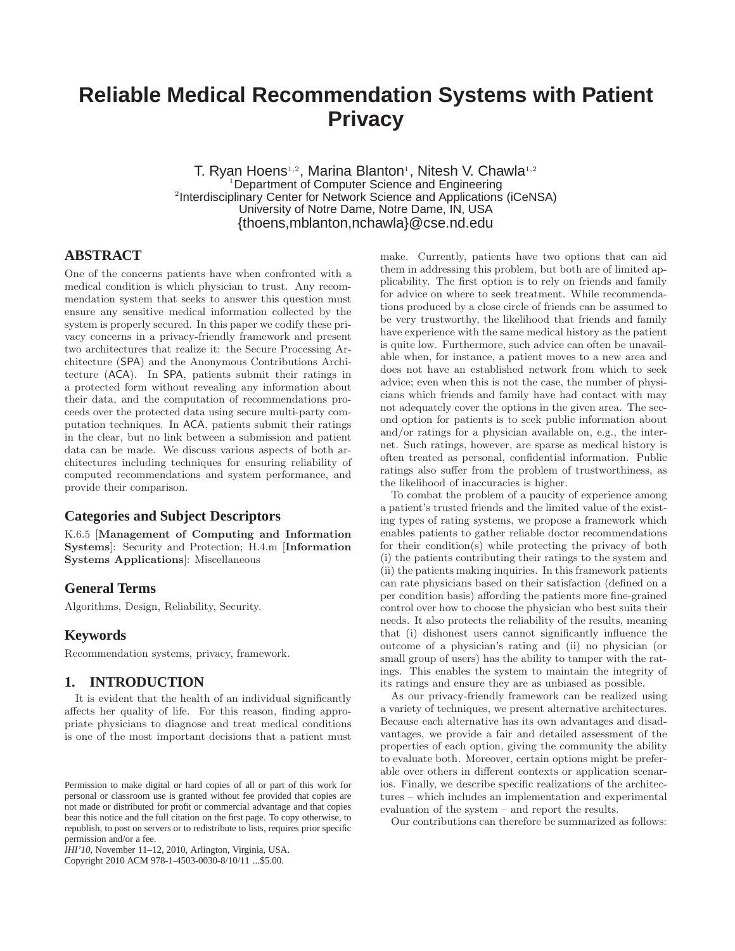# **Reliable Medical Recommendation Systems with Patient Privacy**

T. Ryan Hoens<sup>1,2</sup>, Marina Blanton<sup>1</sup>, Nitesh V. Chawla<sup>1,2</sup> <sup>1</sup>Department of Computer Science and Engineering 2 Interdisciplinary Center for Network Science and Applications (iCeNSA) University of Notre Dame, Notre Dame, IN, USA {thoens,mblanton,nchawla}@cse.nd.edu

#### **ABSTRACT**

One of the concerns patients have when confronted with a medical condition is which physician to trust. Any recommendation system that seeks to answer this question must ensure any sensitive medical information collected by the system is properly secured. In this paper we codify these privacy concerns in a privacy-friendly framework and present two architectures that realize it: the Secure Processing Architecture (SPA) and the Anonymous Contributions Architecture (ACA). In SPA, patients submit their ratings in a protected form without revealing any information about their data, and the computation of recommendations proceeds over the protected data using secure multi-party computation techniques. In ACA, patients submit their ratings in the clear, but no link between a submission and patient data can be made. We discuss various aspects of both architectures including techniques for ensuring reliability of computed recommendations and system performance, and provide their comparison.

#### **Categories and Subject Descriptors**

K.6.5 [Management of Computing and Information Systems]: Security and Protection; H.4.m [Information Systems Applications]: Miscellaneous

## **General Terms**

Algorithms, Design, Reliability, Security.

#### **Keywords**

Recommendation systems, privacy, framework.

#### **1. INTRODUCTION**

It is evident that the health of an individual significantly affects her quality of life. For this reason, finding appropriate physicians to diagnose and treat medical conditions is one of the most important decisions that a patient must

Copyright 2010 ACM 978-1-4503-0030-8/10/11 ...\$5.00.

make. Currently, patients have two options that can aid them in addressing this problem, but both are of limited applicability. The first option is to rely on friends and family for advice on where to seek treatment. While recommendations produced by a close circle of friends can be assumed to be very trustworthy, the likelihood that friends and family have experience with the same medical history as the patient is quite low. Furthermore, such advice can often be unavailable when, for instance, a patient moves to a new area and does not have an established network from which to seek advice; even when this is not the case, the number of physicians which friends and family have had contact with may not adequately cover the options in the given area. The second option for patients is to seek public information about and/or ratings for a physician available on, e.g., the internet. Such ratings, however, are sparse as medical history is often treated as personal, confidential information. Public ratings also suffer from the problem of trustworthiness, as the likelihood of inaccuracies is higher.

To combat the problem of a paucity of experience among a patient's trusted friends and the limited value of the existing types of rating systems, we propose a framework which enables patients to gather reliable doctor recommendations for their condition(s) while protecting the privacy of both (i) the patients contributing their ratings to the system and (ii) the patients making inquiries. In this framework patients can rate physicians based on their satisfaction (defined on a per condition basis) affording the patients more fine-grained control over how to choose the physician who best suits their needs. It also protects the reliability of the results, meaning that (i) dishonest users cannot significantly influence the outcome of a physician's rating and (ii) no physician (or small group of users) has the ability to tamper with the ratings. This enables the system to maintain the integrity of its ratings and ensure they are as unbiased as possible.

As our privacy-friendly framework can be realized using a variety of techniques, we present alternative architectures. Because each alternative has its own advantages and disadvantages, we provide a fair and detailed assessment of the properties of each option, giving the community the ability to evaluate both. Moreover, certain options might be preferable over others in different contexts or application scenarios. Finally, we describe specific realizations of the architectures – which includes an implementation and experimental evaluation of the system – and report the results.

Our contributions can therefore be summarized as follows:

Permission to make digital or hard copies of all or part of this work for personal or classroom use is granted without fee provided that copies are not made or distributed for profit or commercial advantage and that copies bear this notice and the full citation on the first page. To copy otherwise, to republish, to post on servers or to redistribute to lists, requires prior specific permission and/or a fee.

*IHI'10,* November 11–12, 2010, Arlington, Virginia, USA.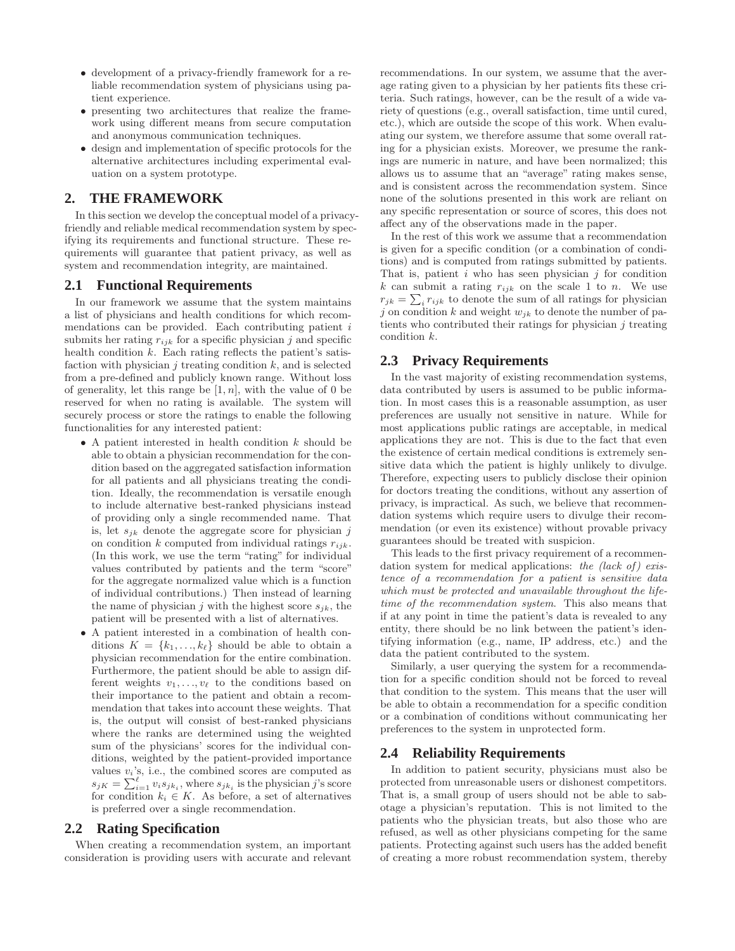- development of a privacy-friendly framework for a reliable recommendation system of physicians using patient experience.
- presenting two architectures that realize the framework using different means from secure computation and anonymous communication techniques.
- design and implementation of specific protocols for the alternative architectures including experimental evaluation on a system prototype.

## **2. THE FRAMEWORK**

In this section we develop the conceptual model of a privacyfriendly and reliable medical recommendation system by specifying its requirements and functional structure. These requirements will guarantee that patient privacy, as well as system and recommendation integrity, are maintained.

#### **2.1 Functional Requirements**

In our framework we assume that the system maintains a list of physicians and health conditions for which recommendations can be provided. Each contributing patient  $i$ submits her rating  $r_{ijk}$  for a specific physician j and specific health condition  $k$ . Each rating reflects the patient's satisfaction with physician  $j$  treating condition  $k$ , and is selected from a pre-defined and publicly known range. Without loss of generality, let this range be  $[1, n]$ , with the value of 0 be reserved for when no rating is available. The system will securely process or store the ratings to enable the following functionalities for any interested patient:

- A patient interested in health condition  $k$  should be able to obtain a physician recommendation for the condition based on the aggregated satisfaction information for all patients and all physicians treating the condition. Ideally, the recommendation is versatile enough to include alternative best-ranked physicians instead of providing only a single recommended name. That is, let  $s_{jk}$  denote the aggregate score for physician j on condition k computed from individual ratings  $r_{ijk}$ . (In this work, we use the term "rating" for individual values contributed by patients and the term "score" for the aggregate normalized value which is a function of individual contributions.) Then instead of learning the name of physician j with the highest score  $s_{jk}$ , the patient will be presented with a list of alternatives.
- A patient interested in a combination of health conditions  $K = \{k_1, \ldots, k_\ell\}$  should be able to obtain a physician recommendation for the entire combination. Furthermore, the patient should be able to assign different weights  $v_1, \ldots, v_\ell$  to the conditions based on their importance to the patient and obtain a recommendation that takes into account these weights. That is, the output will consist of best-ranked physicians where the ranks are determined using the weighted sum of the physicians' scores for the individual conditions, weighted by the patient-provided importance values  $v_i$ 's, i.e., the combined scores are computed as  $s_{jK} = \sum_{i=1}^{\ell} v_i s_{jk_i}$ , where  $s_{jk_i}$  is the physician j's score for condition  $k_i \in K$ . As before, a set of alternatives is preferred over a single recommendation.

#### **2.2 Rating Specification**

When creating a recommendation system, an important consideration is providing users with accurate and relevant recommendations. In our system, we assume that the average rating given to a physician by her patients fits these criteria. Such ratings, however, can be the result of a wide variety of questions (e.g., overall satisfaction, time until cured, etc.), which are outside the scope of this work. When evaluating our system, we therefore assume that some overall rating for a physician exists. Moreover, we presume the rankings are numeric in nature, and have been normalized; this allows us to assume that an "average" rating makes sense, and is consistent across the recommendation system. Since none of the solutions presented in this work are reliant on any specific representation or source of scores, this does not affect any of the observations made in the paper.

In the rest of this work we assume that a recommendation is given for a specific condition (or a combination of conditions) and is computed from ratings submitted by patients. That is, patient  $i$  who has seen physician  $j$  for condition k can submit a rating  $r_{ijk}$  on the scale 1 to n. We use  $r_{jk} = \sum_i r_{ijk}$  to denote the sum of all ratings for physician j on condition k and weight  $w_{jk}$  to denote the number of patients who contributed their ratings for physician  $j$  treating condition k.

#### **2.3 Privacy Requirements**

In the vast majority of existing recommendation systems, data contributed by users is assumed to be public information. In most cases this is a reasonable assumption, as user preferences are usually not sensitive in nature. While for most applications public ratings are acceptable, in medical applications they are not. This is due to the fact that even the existence of certain medical conditions is extremely sensitive data which the patient is highly unlikely to divulge. Therefore, expecting users to publicly disclose their opinion for doctors treating the conditions, without any assertion of privacy, is impractical. As such, we believe that recommendation systems which require users to divulge their recommendation (or even its existence) without provable privacy guarantees should be treated with suspicion.

This leads to the first privacy requirement of a recommendation system for medical applications: the (lack of) existence of a recommendation for a patient is sensitive data which must be protected and unavailable throughout the lifetime of the recommendation system. This also means that if at any point in time the patient's data is revealed to any entity, there should be no link between the patient's identifying information (e.g., name, IP address, etc.) and the data the patient contributed to the system.

Similarly, a user querying the system for a recommendation for a specific condition should not be forced to reveal that condition to the system. This means that the user will be able to obtain a recommendation for a specific condition or a combination of conditions without communicating her preferences to the system in unprotected form.

#### **2.4 Reliability Requirements**

In addition to patient security, physicians must also be protected from unreasonable users or dishonest competitors. That is, a small group of users should not be able to sabotage a physician's reputation. This is not limited to the patients who the physician treats, but also those who are refused, as well as other physicians competing for the same patients. Protecting against such users has the added benefit of creating a more robust recommendation system, thereby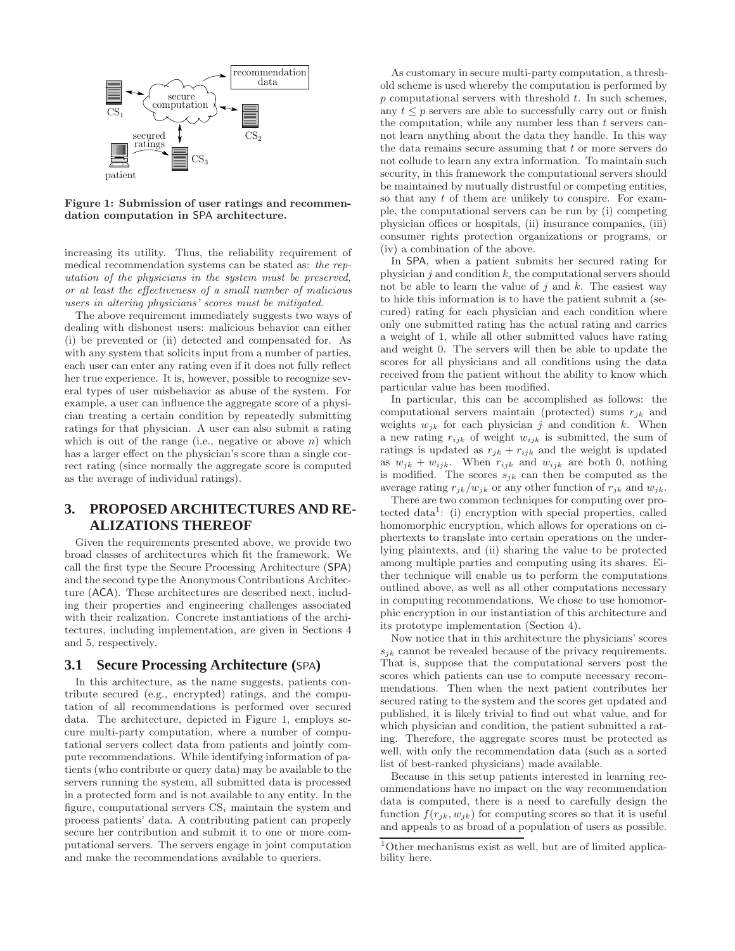

Figure 1: Submission of user ratings and recommendation computation in SPA architecture.

increasing its utility. Thus, the reliability requirement of medical recommendation systems can be stated as: the reputation of the physicians in the system must be preserved, or at least the effectiveness of a small number of malicious users in altering physicians' scores must be mitigated.

The above requirement immediately suggests two ways of dealing with dishonest users: malicious behavior can either (i) be prevented or (ii) detected and compensated for. As with any system that solicits input from a number of parties, each user can enter any rating even if it does not fully reflect her true experience. It is, however, possible to recognize several types of user misbehavior as abuse of the system. For example, a user can influence the aggregate score of a physician treating a certain condition by repeatedly submitting ratings for that physician. A user can also submit a rating which is out of the range (i.e., negative or above  $n$ ) which has a larger effect on the physician's score than a single correct rating (since normally the aggregate score is computed as the average of individual ratings).

# **3. PROPOSED ARCHITECTURES AND RE-ALIZATIONS THEREOF**

Given the requirements presented above, we provide two broad classes of architectures which fit the framework. We call the first type the Secure Processing Architecture (SPA) and the second type the Anonymous Contributions Architecture (ACA). These architectures are described next, including their properties and engineering challenges associated with their realization. Concrete instantiations of the architectures, including implementation, are given in Sections 4 and 5, respectively.

#### **3.1 Secure Processing Architecture (**SPA**)**

In this architecture, as the name suggests, patients contribute secured (e.g., encrypted) ratings, and the computation of all recommendations is performed over secured data. The architecture, depicted in Figure 1, employs secure multi-party computation, where a number of computational servers collect data from patients and jointly compute recommendations. While identifying information of patients (who contribute or query data) may be available to the servers running the system, all submitted data is processed in a protected form and is not available to any entity. In the figure, computational servers  $CS<sub>i</sub>$  maintain the system and process patients' data. A contributing patient can properly secure her contribution and submit it to one or more computational servers. The servers engage in joint computation and make the recommendations available to queriers.

As customary in secure multi-party computation, a threshold scheme is used whereby the computation is performed by  $p$  computational servers with threshold  $t$ . In such schemes, any  $t \leq p$  servers are able to successfully carry out or finish the computation, while any number less than  $t$  servers cannot learn anything about the data they handle. In this way the data remains secure assuming that  $t$  or more servers do not collude to learn any extra information. To maintain such security, in this framework the computational servers should be maintained by mutually distrustful or competing entities, so that any t of them are unlikely to conspire. For example, the computational servers can be run by (i) competing physician offices or hospitals, (ii) insurance companies, (iii) consumer rights protection organizations or programs, or (iv) a combination of the above.

In SPA, when a patient submits her secured rating for physician  $j$  and condition  $k$ , the computational servers should not be able to learn the value of  $j$  and  $k$ . The easiest way to hide this information is to have the patient submit a (secured) rating for each physician and each condition where only one submitted rating has the actual rating and carries a weight of 1, while all other submitted values have rating and weight 0. The servers will then be able to update the scores for all physicians and all conditions using the data received from the patient without the ability to know which particular value has been modified.

In particular, this can be accomplished as follows: the computational servers maintain (protected) sums  $r_{ik}$  and weights  $w_{jk}$  for each physician j and condition k. When a new rating  $r_{ijk}$  of weight  $w_{ijk}$  is submitted, the sum of ratings is updated as  $r_{jk} + r_{ijk}$  and the weight is updated as  $w_{jk} + w_{ijk}$ . When  $r_{ijk}$  and  $w_{ijk}$  are both 0, nothing is modified. The scores  $s_{jk}$  can then be computed as the average rating  $r_{jk}/w_{jk}$  or any other function of  $r_{jk}$  and  $w_{jk}$ .

There are two common techniques for computing over protected data<sup>1</sup>: (i) encryption with special properties, called homomorphic encryption, which allows for operations on ciphertexts to translate into certain operations on the underlying plaintexts, and (ii) sharing the value to be protected among multiple parties and computing using its shares. Either technique will enable us to perform the computations outlined above, as well as all other computations necessary in computing recommendations. We chose to use homomorphic encryption in our instantiation of this architecture and its prototype implementation (Section 4).

Now notice that in this architecture the physicians' scores  $s_{ik}$  cannot be revealed because of the privacy requirements. That is, suppose that the computational servers post the scores which patients can use to compute necessary recommendations. Then when the next patient contributes her secured rating to the system and the scores get updated and published, it is likely trivial to find out what value, and for which physician and condition, the patient submitted a rating. Therefore, the aggregate scores must be protected as well, with only the recommendation data (such as a sorted list of best-ranked physicians) made available.

Because in this setup patients interested in learning recommendations have no impact on the way recommendation data is computed, there is a need to carefully design the function  $f(r_{ik}, w_{ik})$  for computing scores so that it is useful and appeals to as broad of a population of users as possible.

<sup>1</sup>Other mechanisms exist as well, but are of limited applicability here.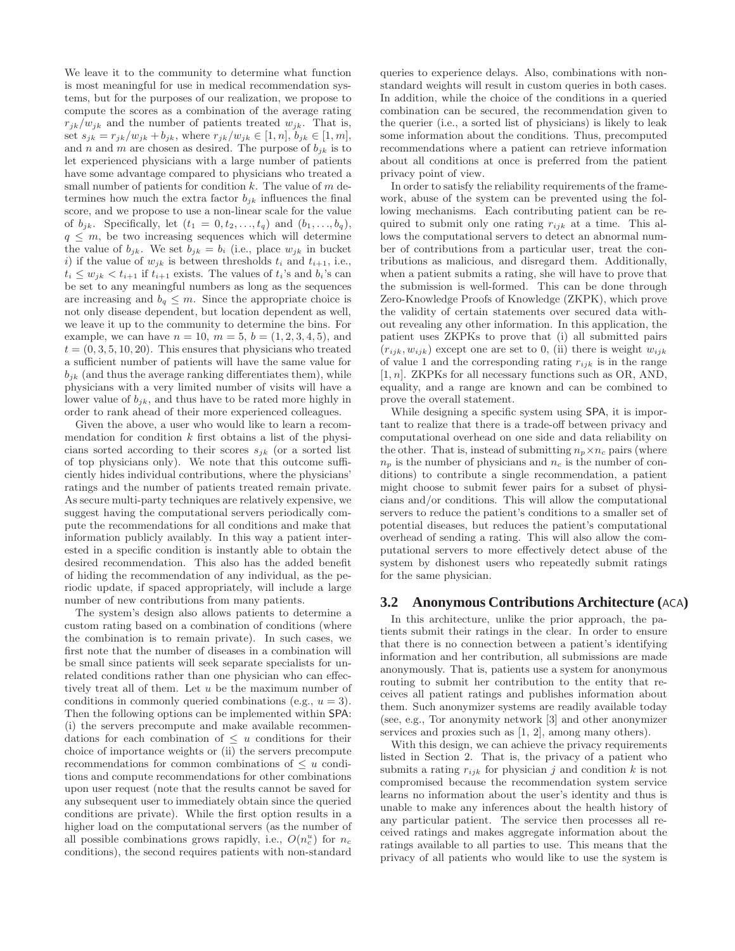We leave it to the community to determine what function is most meaningful for use in medical recommendation systems, but for the purposes of our realization, we propose to compute the scores as a combination of the average rating  $r_{ik}/w_{ik}$  and the number of patients treated  $w_{ik}$ . That is, set  $s_{jk} = r_{jk}/w_{jk} + b_{jk}$ , where  $r_{jk}/w_{jk} \in [1, n], b_{jk} \in [1, m]$ , and n and m are chosen as desired. The purpose of  $b_{ik}$  is to let experienced physicians with a large number of patients have some advantage compared to physicians who treated a small number of patients for condition  $k$ . The value of  $m$  determines how much the extra factor  $b_{jk}$  influences the final score, and we propose to use a non-linear scale for the value of  $b_{jk}$ . Specifically, let  $(t_1 = 0, t_2, \ldots, t_q)$  and  $(b_1, \ldots, b_q)$ ,  $q \leq m$ , be two increasing sequences which will determine the value of  $b_{jk}$ . We set  $b_{jk} = b_i$  (i.e., place  $w_{jk}$  in bucket i) if the value of  $w_{jk}$  is between thresholds  $t_i$  and  $t_{i+1}$ , i.e.,  $t_i \leq w_{jk} < t_{i+1}$  if  $t_{i+1}$  exists. The values of  $t_i$ 's and  $b_i$ 's can be set to any meaningful numbers as long as the sequences are increasing and  $b_q \leq m$ . Since the appropriate choice is not only disease dependent, but location dependent as well, we leave it up to the community to determine the bins. For example, we can have  $n = 10$ ,  $m = 5$ ,  $b = (1, 2, 3, 4, 5)$ , and  $t = (0, 3, 5, 10, 20)$ . This ensures that physicians who treated a sufficient number of patients will have the same value for  $b_{ik}$  (and thus the average ranking differentiates them), while physicians with a very limited number of visits will have a lower value of  $b_{ik}$ , and thus have to be rated more highly in order to rank ahead of their more experienced colleagues.

Given the above, a user who would like to learn a recommendation for condition  $k$  first obtains a list of the physicians sorted according to their scores  $s_{jk}$  (or a sorted list of top physicians only). We note that this outcome sufficiently hides individual contributions, where the physicians' ratings and the number of patients treated remain private. As secure multi-party techniques are relatively expensive, we suggest having the computational servers periodically compute the recommendations for all conditions and make that information publicly availably. In this way a patient interested in a specific condition is instantly able to obtain the desired recommendation. This also has the added benefit of hiding the recommendation of any individual, as the periodic update, if spaced appropriately, will include a large number of new contributions from many patients.

The system's design also allows patients to determine a custom rating based on a combination of conditions (where the combination is to remain private). In such cases, we first note that the number of diseases in a combination will be small since patients will seek separate specialists for unrelated conditions rather than one physician who can effectively treat all of them. Let u be the maximum number of conditions in commonly queried combinations (e.g.,  $u = 3$ ). Then the following options can be implemented within SPA: (i) the servers precompute and make available recommendations for each combination of  $\leq u$  conditions for their choice of importance weights or (ii) the servers precompute recommendations for common combinations of  $\leq u$  conditions and compute recommendations for other combinations upon user request (note that the results cannot be saved for any subsequent user to immediately obtain since the queried conditions are private). While the first option results in a higher load on the computational servers (as the number of all possible combinations grows rapidly, i.e.,  $O(n_c^u)$  for  $n_c$ conditions), the second requires patients with non-standard

queries to experience delays. Also, combinations with nonstandard weights will result in custom queries in both cases. In addition, while the choice of the conditions in a queried combination can be secured, the recommendation given to the querier (i.e., a sorted list of physicians) is likely to leak some information about the conditions. Thus, precomputed recommendations where a patient can retrieve information about all conditions at once is preferred from the patient privacy point of view.

In order to satisfy the reliability requirements of the framework, abuse of the system can be prevented using the following mechanisms. Each contributing patient can be required to submit only one rating  $r_{ijk}$  at a time. This allows the computational servers to detect an abnormal number of contributions from a particular user, treat the contributions as malicious, and disregard them. Additionally, when a patient submits a rating, she will have to prove that the submission is well-formed. This can be done through Zero-Knowledge Proofs of Knowledge (ZKPK), which prove the validity of certain statements over secured data without revealing any other information. In this application, the patient uses ZKPKs to prove that (i) all submitted pairs  $(r_{ijk}, w_{ijk})$  except one are set to 0, (ii) there is weight  $w_{ijk}$ of value 1 and the corresponding rating  $r_{ijk}$  is in the range  $[1, n]$ . ZKPKs for all necessary functions such as OR, AND, equality, and a range are known and can be combined to prove the overall statement.

While designing a specific system using SPA, it is important to realize that there is a trade-off between privacy and computational overhead on one side and data reliability on the other. That is, instead of submitting  $n_p \times n_c$  pairs (where  $n_p$  is the number of physicians and  $n_c$  is the number of conditions) to contribute a single recommendation, a patient might choose to submit fewer pairs for a subset of physicians and/or conditions. This will allow the computational servers to reduce the patient's conditions to a smaller set of potential diseases, but reduces the patient's computational overhead of sending a rating. This will also allow the computational servers to more effectively detect abuse of the system by dishonest users who repeatedly submit ratings for the same physician.

#### **3.2 Anonymous Contributions Architecture (**ACA**)**

In this architecture, unlike the prior approach, the patients submit their ratings in the clear. In order to ensure that there is no connection between a patient's identifying information and her contribution, all submissions are made anonymously. That is, patients use a system for anonymous routing to submit her contribution to the entity that receives all patient ratings and publishes information about them. Such anonymizer systems are readily available today (see, e.g., Tor anonymity network [3] and other anonymizer services and proxies such as [1, 2], among many others).

With this design, we can achieve the privacy requirements listed in Section 2. That is, the privacy of a patient who submits a rating  $r_{ijk}$  for physician j and condition k is not compromised because the recommendation system service learns no information about the user's identity and thus is unable to make any inferences about the health history of any particular patient. The service then processes all received ratings and makes aggregate information about the ratings available to all parties to use. This means that the privacy of all patients who would like to use the system is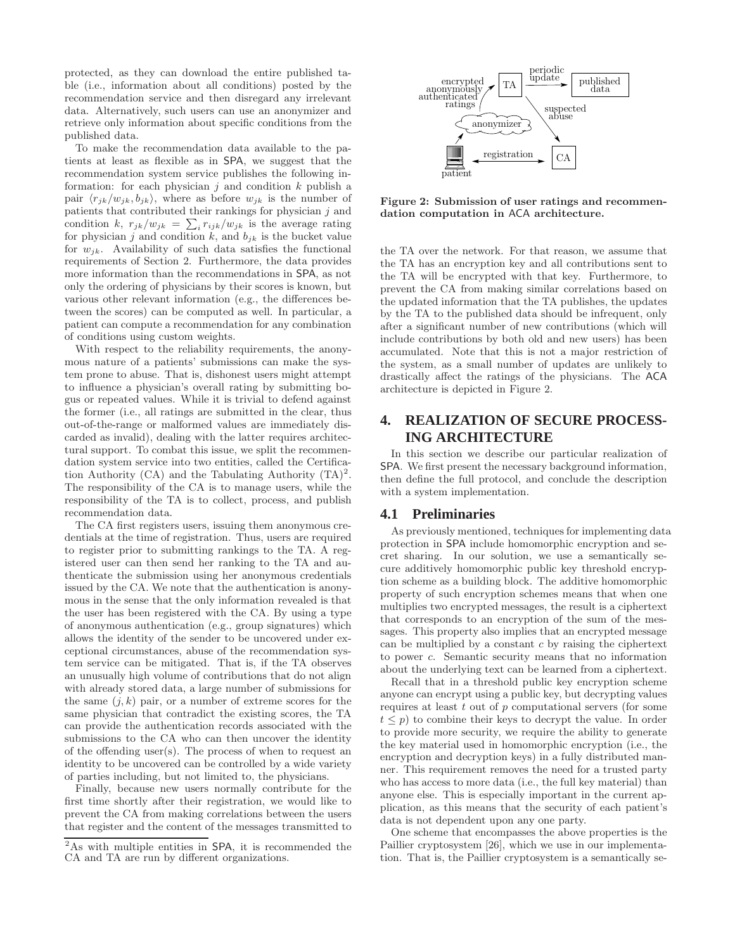protected, as they can download the entire published table (i.e., information about all conditions) posted by the recommendation service and then disregard any irrelevant data. Alternatively, such users can use an anonymizer and retrieve only information about specific conditions from the published data.

To make the recommendation data available to the patients at least as flexible as in SPA, we suggest that the recommendation system service publishes the following information: for each physician  $j$  and condition  $k$  publish a pair  $\langle r_{jk}/w_{jk}, b_{jk}\rangle$ , where as before  $w_{jk}$  is the number of patients that contributed their rankings for physician  $j$  and condition k,  $r_{jk}/w_{jk} = \sum_i r_{ijk}/w_{jk}$  is the average rating for physician j and condition k, and  $b_{jk}$  is the bucket value for  $w_{ik}$ . Availability of such data satisfies the functional requirements of Section 2. Furthermore, the data provides more information than the recommendations in SPA, as not only the ordering of physicians by their scores is known, but various other relevant information (e.g., the differences between the scores) can be computed as well. In particular, a patient can compute a recommendation for any combination of conditions using custom weights.

With respect to the reliability requirements, the anonymous nature of a patients' submissions can make the system prone to abuse. That is, dishonest users might attempt to influence a physician's overall rating by submitting bogus or repeated values. While it is trivial to defend against the former (i.e., all ratings are submitted in the clear, thus out-of-the-range or malformed values are immediately discarded as invalid), dealing with the latter requires architectural support. To combat this issue, we split the recommendation system service into two entities, called the Certification Authority (CA) and the Tabulating Authority  $(TA)^2$ . The responsibility of the CA is to manage users, while the responsibility of the TA is to collect, process, and publish recommendation data.

The CA first registers users, issuing them anonymous credentials at the time of registration. Thus, users are required to register prior to submitting rankings to the TA. A registered user can then send her ranking to the TA and authenticate the submission using her anonymous credentials issued by the CA. We note that the authentication is anonymous in the sense that the only information revealed is that the user has been registered with the CA. By using a type of anonymous authentication (e.g., group signatures) which allows the identity of the sender to be uncovered under exceptional circumstances, abuse of the recommendation system service can be mitigated. That is, if the TA observes an unusually high volume of contributions that do not align with already stored data, a large number of submissions for the same  $(j, k)$  pair, or a number of extreme scores for the same physician that contradict the existing scores, the TA can provide the authentication records associated with the submissions to the CA who can then uncover the identity of the offending user(s). The process of when to request an identity to be uncovered can be controlled by a wide variety of parties including, but not limited to, the physicians.

Finally, because new users normally contribute for the first time shortly after their registration, we would like to prevent the CA from making correlations between the users that register and the content of the messages transmitted to



Figure 2: Submission of user ratings and recommendation computation in ACA architecture.

the TA over the network. For that reason, we assume that the TA has an encryption key and all contributions sent to the TA will be encrypted with that key. Furthermore, to prevent the CA from making similar correlations based on the updated information that the TA publishes, the updates by the TA to the published data should be infrequent, only after a significant number of new contributions (which will include contributions by both old and new users) has been accumulated. Note that this is not a major restriction of the system, as a small number of updates are unlikely to drastically affect the ratings of the physicians. The ACA architecture is depicted in Figure 2.

# **4. REALIZATION OF SECURE PROCESS-ING ARCHITECTURE**

In this section we describe our particular realization of SPA. We first present the necessary background information, then define the full protocol, and conclude the description with a system implementation.

#### **4.1 Preliminaries**

As previously mentioned, techniques for implementing data protection in SPA include homomorphic encryption and secret sharing. In our solution, we use a semantically secure additively homomorphic public key threshold encryption scheme as a building block. The additive homomorphic property of such encryption schemes means that when one multiplies two encrypted messages, the result is a ciphertext that corresponds to an encryption of the sum of the messages. This property also implies that an encrypted message can be multiplied by a constant  $c$  by raising the ciphertext to power c. Semantic security means that no information about the underlying text can be learned from a ciphertext.

Recall that in a threshold public key encryption scheme anyone can encrypt using a public key, but decrypting values requires at least  $t$  out of  $p$  computational servers (for some  $t \leq p$ ) to combine their keys to decrypt the value. In order to provide more security, we require the ability to generate the key material used in homomorphic encryption (i.e., the encryption and decryption keys) in a fully distributed manner. This requirement removes the need for a trusted party who has access to more data (i.e., the full key material) than anyone else. This is especially important in the current application, as this means that the security of each patient's data is not dependent upon any one party.

One scheme that encompasses the above properties is the Paillier cryptosystem [26], which we use in our implementation. That is, the Paillier cryptosystem is a semantically se-

<sup>&</sup>lt;sup>2</sup>As with multiple entities in SPA, it is recommended the CA and TA are run by different organizations.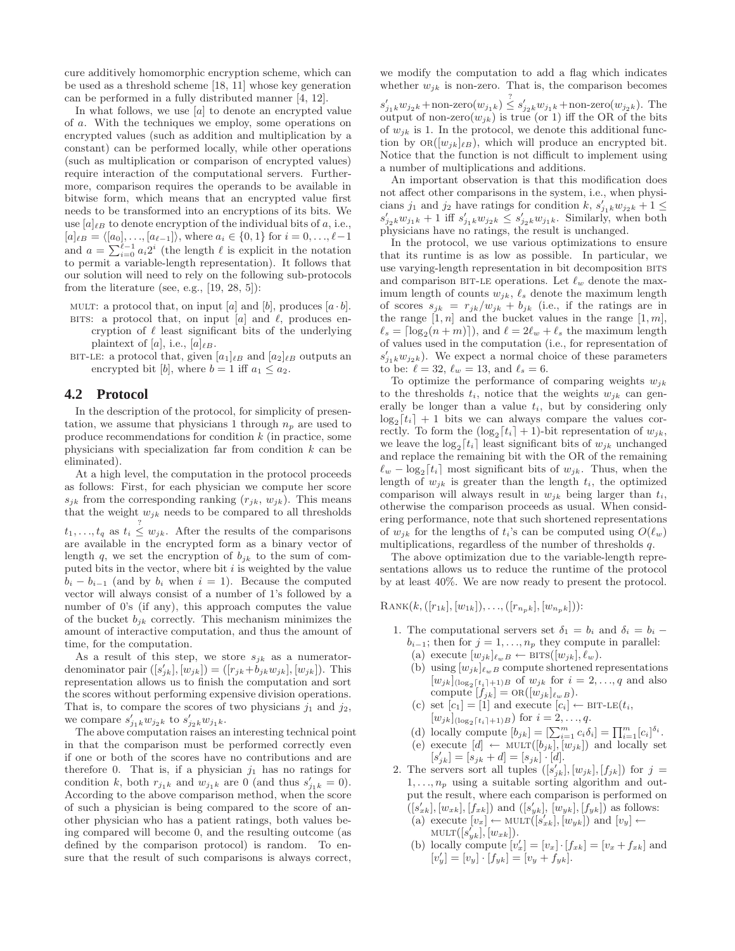cure additively homomorphic encryption scheme, which can be used as a threshold scheme [18, 11] whose key generation can be performed in a fully distributed manner [4, 12].

In what follows, we use  $[a]$  to denote an encrypted value of a. With the techniques we employ, some operations on encrypted values (such as addition and multiplication by a constant) can be performed locally, while other operations (such as multiplication or comparison of encrypted values) require interaction of the computational servers. Furthermore, comparison requires the operands to be available in bitwise form, which means that an encrypted value first needs to be transformed into an encryptions of its bits. We use  $[a]_{\ell B}$  to denote encryption of the individual bits of a, i.e.,  $[a]_{\ell B} = \langle [a_0], \ldots, [a_{\ell-1}]\rangle$ , where  $a_i \in \{0, 1\}$  for  $i = 0, \ldots, \ell-1$ and  $a = \sum_{i=0}^{\ell-1} a_i 2^i$  (the length  $\ell$  is explicit in the notation to permit a variable-length representation). It follows that our solution will need to rely on the following sub-protocols from the literature (see, e.g.,  $[19, 28, 5]$ ):

MULT: a protocol that, on input [a] and [b], produces  $[a \cdot b]$ .

- BITS: a protocol that, on input  $[a]$  and  $\ell$ , produces encryption of  $\ell$  least significant bits of the underlying plaintext of [a], i.e.,  $[a]_{\ell B}$ .
- BIT-LE: a protocol that, given  $[a_1]_{\ell B}$  and  $[a_2]_{\ell B}$  outputs an encrypted bit [b], where  $b = 1$  iff  $a_1 \le a_2$ .

#### **4.2 Protocol**

In the description of the protocol, for simplicity of presentation, we assume that physicians 1 through  $n_p$  are used to produce recommendations for condition  $k$  (in practice, some physicians with specialization far from condition k can be eliminated).

At a high level, the computation in the protocol proceeds as follows: First, for each physician we compute her score  $s_{ik}$  from the corresponding ranking  $(r_{jk}, w_{jk})$ . This means that the weight  $w_{jk}$  needs to be compared to all thresholds  $t_1, \ldots, t_q$  as  $t_i \leq w_{jk}$ . After the results of the comparisons are available in the encrypted form as a binary vector of length q, we set the encryption of  $b_{jk}$  to the sum of computed bits in the vector, where bit  $i$  is weighted by the value  $b_i - b_{i-1}$  (and by  $b_i$  when  $i = 1$ ). Because the computed vector will always consist of a number of 1's followed by a number of 0's (if any), this approach computes the value of the bucket  $b_{jk}$  correctly. This mechanism minimizes the amount of interactive computation, and thus the amount of time, for the computation.

As a result of this step, we store  $s_{jk}$  as a numeratordenominator pair  $([s'_{jk}], [w_{jk}]) = ([r_{jk} + b_{jk}w_{jk}], [w_{jk}])$ . This representation allows us to finish the computation and sort the scores without performing expensive division operations. That is, to compare the scores of two physicians  $j_1$  and  $j_2$ , we compare  $s'_{j_1k}w_{j_2k}$  to  $s'_{j_2k}w_{j_1k}$ .

The above computation raises an interesting technical point in that the comparison must be performed correctly even if one or both of the scores have no contributions and are therefore 0. That is, if a physician  $j_1$  has no ratings for condition k, both  $r_{j_1k}$  and  $w_{j_1k}$  are 0 (and thus  $s'_{j_1k} = 0$ ). According to the above comparison method, when the score of such a physician is being compared to the score of another physician who has a patient ratings, both values being compared will become 0, and the resulting outcome (as defined by the comparison protocol) is random. To ensure that the result of such comparisons is always correct,

we modify the computation to add a flag which indicates whether  $w_{jk}$  is non-zero. That is, the comparison becomes  $s'_{j_1k}w_{j_2k} + \text{non-zero}(w_{j_1k}) \leq s'_{j_2k}w_{j_1k} + \text{non-zero}(w_{j_2k}).$  The output of non-zero $(w_{jk})$  is true (or 1) iff the OR of the bits of  $w_{ik}$  is 1. In the protocol, we denote this additional function by  $OR([w_{jk}]_{\ell B})$ , which will produce an encrypted bit. Notice that the function is not difficult to implement using a number of multiplications and additions.

An important observation is that this modification does not affect other comparisons in the system, i.e., when physicians  $j_1$  and  $j_2$  have ratings for condition  $k, s'_{j_1k}w_{j_2k} + 1 \leq$  $s'_{j2k}w_{j1k} + 1$  iff  $s'_{j1k}w_{j2k} \leq s'_{j2k}w_{j1k}$ . Similarly, when both physicians have no ratings, the result is unchanged.

In the protocol, we use various optimizations to ensure that its runtime is as low as possible. In particular, we use varying-length representation in bit decomposition BITS and comparison BIT-LE operations. Let  $\ell_w$  denote the maximum length of counts  $w_{jk}$ ,  $\ell_s$  denote the maximum length of scores  $s_{jk} = r_{jk}/w_{jk} + b_{jk}$  (i.e., if the ratings are in the range  $[1, n]$  and the bucket values in the range  $[1, m]$ ,  $\ell_s = \lceil \log_2(n+m) \rceil$ , and  $\ell = 2\ell_w + \ell_s$  the maximum length of values used in the computation (i.e., for representation of  $s'_{j_1k}w_{j_2k}$ . We expect a normal choice of these parameters to be:  $\ell = 32$ ,  $\ell_w = 13$ , and  $\ell_s = 6$ .

To optimize the performance of comparing weights  $w_{jk}$ to the thresholds  $t_i$ , notice that the weights  $w_{jk}$  can generally be longer than a value  $t_i$ , but by considering only  $log_2[t_i] + 1$  bits we can always compare the values correctly. To form the  $(\log_2\lceil t_i \rceil + 1)$ -bit representation of  $w_{jk}$ , we leave the  $\log_2[t_i]$  least significant bits of  $w_{jk}$  unchanged and replace the remaining bit with the OR of the remaining  $\ell_w - \log_2[t_i]$  most significant bits of  $w_{jk}$ . Thus, when the length of  $w_{jk}$  is greater than the length  $t_i$ , the optimized comparison will always result in  $w_{ik}$  being larger than  $t_i$ , otherwise the comparison proceeds as usual. When considering performance, note that such shortened representations of  $w_{ik}$  for the lengths of  $t_i$ 's can be computed using  $O(\ell_w)$ multiplications, regardless of the number of thresholds q.

The above optimization due to the variable-length representations allows us to reduce the runtime of the protocol by at least 40%. We are now ready to present the protocol.

RANK $(k, ([r_{1k}], [w_{1k}]), \ldots, ([r_{npk}], [w_{npk}]))$ :

- 1. The computational servers set  $\delta_1 = b_i$  and  $\delta_i = b_i$   $b_{i-1}$ ; then for  $j = 1, \ldots, n_p$  they compute in parallel:
	- (a) execute  $[w_{jk}]_{\ell_wB} \leftarrow \text{BITS}([w_{jk}], \ell_w).$
	- (b) using  $[w_{jk}]_{\ell_wB}$  compute shortened representations  $[w_{jk}]_{(\log_2 [t_i]+1)B}$  of  $w_{jk}$  for  $i = 2, ..., q$  and also compute  $[f_{jk}] = \text{OR}([w_{jk}]_{\ell_w B}).$
	- (c) set  $[c_1] = [1]$  and execute  $[c_i] \leftarrow \text{BIT-LE}(t_i,$  $[w_{jk}]_{(\log_2 [t_i]+1)B})$  for  $i = 2, ..., q$ .
	- (d) locally compute  $[b_{jk}] = \left[\sum_{i=1}^{m} c_i \delta_i\right] = \prod_{i=1}^{m} [c_i]^{\delta_i}$ .
	- (e) execute  $[d] \leftarrow \text{MULT}([b_{jk}], [w_{jk}])$  and locally set  $[s'_{jk}] = [s_{jk} + d] = [s_{jk}] \cdot [d].$
- 2. The servers sort all tuples  $([s'_{jk}], [w_{jk}], [f_{jk}])$  for  $j =$  $1, \ldots, n_p$  using a suitable sorting algorithm and output the result, where each comparison is performed on  $([s'_{xk}], [w_{xk}], [f_{xk}])$  and  $([s'_{yk}], [w_{yk}], [f_{yk}])$  as follows:
	- (a) execute  $[v_x] \leftarrow \text{MULT}([s'_{xk}], [w_{yk}])$  and  $[v_y] \leftarrow$  $\text{MULT}([s'_{yk}], [w_{xk}]).$
	- (b) locally compute  $[v'_x] = [v_x] \cdot [f_{xk}] = [v_x + f_{xk}]$  and  $[v'_y] = [v_y] \cdot [f_{yk}] = [v_y + f_{yk}].$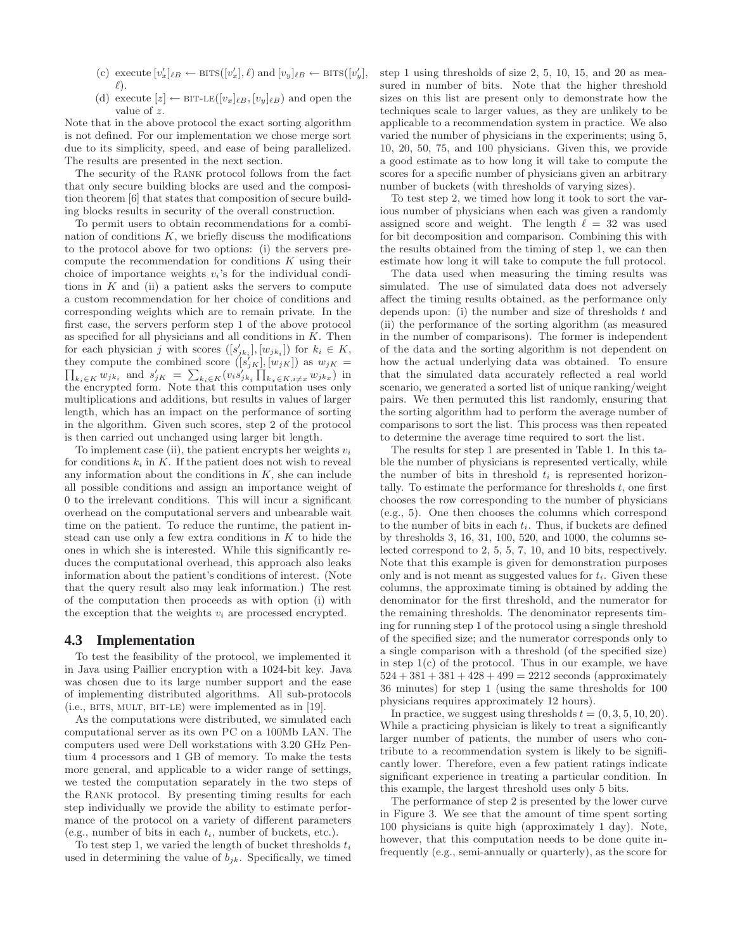- (c) execute  $[v'_x]_{\ell B} \leftarrow \text{BITS}([v'_x], \ell)$  and  $[v_y]_{\ell B} \leftarrow \text{BITS}([v'_y], \ell)$ ℓ).
- (d) execute  $[z] \leftarrow \text{BIT-LE}([v_x]_{\ell B}, [v_y]_{\ell B})$  and open the value of z.

Note that in the above protocol the exact sorting algorithm is not defined. For our implementation we chose merge sort due to its simplicity, speed, and ease of being parallelized. The results are presented in the next section.

The security of the Rank protocol follows from the fact that only secure building blocks are used and the composition theorem [6] that states that composition of secure building blocks results in security of the overall construction.

To permit users to obtain recommendations for a combination of conditions  $K$ , we briefly discuss the modifications to the protocol above for two options: (i) the servers precompute the recommendation for conditions  $K$  using their choice of importance weights  $v_i$ 's for the individual conditions in  $K$  and (ii) a patient asks the servers to compute a custom recommendation for her choice of conditions and corresponding weights which are to remain private. In the first case, the servers perform step 1 of the above protocol as specified for all physicians and all conditions in  $K$ . Then for each physician j with scores  $([s'_{jk_i}], [w_{jk_i}])$  for  $k_i \in K$ , they compute the combined score  $([s'_{jK}], [w_{jK}])$  as  $w_{jK} =$  $\prod_{k_i \in K} w_{jk_i}$  and  $s'_{jK} = \sum_{k_i \in K} (v_i s'_{jk_i} \prod_{k_x \in K, i \neq x} w_{jk_x})$  in the encrypted form. Note that this computation uses only multiplications and additions, but results in values of larger length, which has an impact on the performance of sorting in the algorithm. Given such scores, step 2 of the protocol is then carried out unchanged using larger bit length.

To implement case (ii), the patient encrypts her weights  $v_i$ for conditions  $k_i$  in K. If the patient does not wish to reveal any information about the conditions in  $K$ , she can include all possible conditions and assign an importance weight of 0 to the irrelevant conditions. This will incur a significant overhead on the computational servers and unbearable wait time on the patient. To reduce the runtime, the patient instead can use only a few extra conditions in  $K$  to hide the ones in which she is interested. While this significantly reduces the computational overhead, this approach also leaks information about the patient's conditions of interest. (Note that the query result also may leak information.) The rest of the computation then proceeds as with option (i) with the exception that the weights  $v_i$  are processed encrypted.

#### **4.3 Implementation**

To test the feasibility of the protocol, we implemented it in Java using Paillier encryption with a 1024-bit key. Java was chosen due to its large number support and the ease of implementing distributed algorithms. All sub-protocols  $(i.e., BITS, MULT, BIT-LE)$  were implemented as in [19].

As the computations were distributed, we simulated each computational server as its own PC on a 100Mb LAN. The computers used were Dell workstations with 3.20 GHz Pentium 4 processors and 1 GB of memory. To make the tests more general, and applicable to a wider range of settings, we tested the computation separately in the two steps of the Rank protocol. By presenting timing results for each step individually we provide the ability to estimate performance of the protocol on a variety of different parameters (e.g., number of bits in each  $t_i$ , number of buckets, etc.).

To test step 1, we varied the length of bucket thresholds  $t_i$ used in determining the value of  $b_{jk}$ . Specifically, we timed step 1 using thresholds of size 2, 5, 10, 15, and 20 as measured in number of bits. Note that the higher threshold sizes on this list are present only to demonstrate how the techniques scale to larger values, as they are unlikely to be applicable to a recommendation system in practice. We also varied the number of physicians in the experiments; using 5, 10, 20, 50, 75, and 100 physicians. Given this, we provide a good estimate as to how long it will take to compute the scores for a specific number of physicians given an arbitrary number of buckets (with thresholds of varying sizes).

To test step 2, we timed how long it took to sort the various number of physicians when each was given a randomly assigned score and weight. The length  $\ell = 32$  was used for bit decomposition and comparison. Combining this with the results obtained from the timing of step 1, we can then estimate how long it will take to compute the full protocol.

The data used when measuring the timing results was simulated. The use of simulated data does not adversely affect the timing results obtained, as the performance only depends upon: (i) the number and size of thresholds  $t$  and (ii) the performance of the sorting algorithm (as measured in the number of comparisons). The former is independent of the data and the sorting algorithm is not dependent on how the actual underlying data was obtained. To ensure that the simulated data accurately reflected a real world scenario, we generated a sorted list of unique ranking/weight pairs. We then permuted this list randomly, ensuring that the sorting algorithm had to perform the average number of comparisons to sort the list. This process was then repeated to determine the average time required to sort the list.

The results for step 1 are presented in Table 1. In this table the number of physicians is represented vertically, while the number of bits in threshold  $t_i$  is represented horizontally. To estimate the performance for thresholds  $t$ , one first chooses the row corresponding to the number of physicians (e.g., 5). One then chooses the columns which correspond to the number of bits in each  $t_i$ . Thus, if buckets are defined by thresholds 3, 16, 31, 100, 520, and 1000, the columns selected correspond to 2, 5, 5, 7, 10, and 10 bits, respectively. Note that this example is given for demonstration purposes only and is not meant as suggested values for  $t_i$ . Given these columns, the approximate timing is obtained by adding the denominator for the first threshold, and the numerator for the remaining thresholds. The denominator represents timing for running step 1 of the protocol using a single threshold of the specified size; and the numerator corresponds only to a single comparison with a threshold (of the specified size) in step  $1(c)$  of the protocol. Thus in our example, we have  $524 + 381 + 381 + 428 + 499 = 2212$  seconds (approximately 36 minutes) for step 1 (using the same thresholds for 100 physicians requires approximately 12 hours).

In practice, we suggest using thresholds  $t = (0, 3, 5, 10, 20)$ . While a practicing physician is likely to treat a significantly larger number of patients, the number of users who contribute to a recommendation system is likely to be significantly lower. Therefore, even a few patient ratings indicate significant experience in treating a particular condition. In this example, the largest threshold uses only 5 bits.

The performance of step 2 is presented by the lower curve in Figure 3. We see that the amount of time spent sorting 100 physicians is quite high (approximately 1 day). Note, however, that this computation needs to be done quite infrequently (e.g., semi-annually or quarterly), as the score for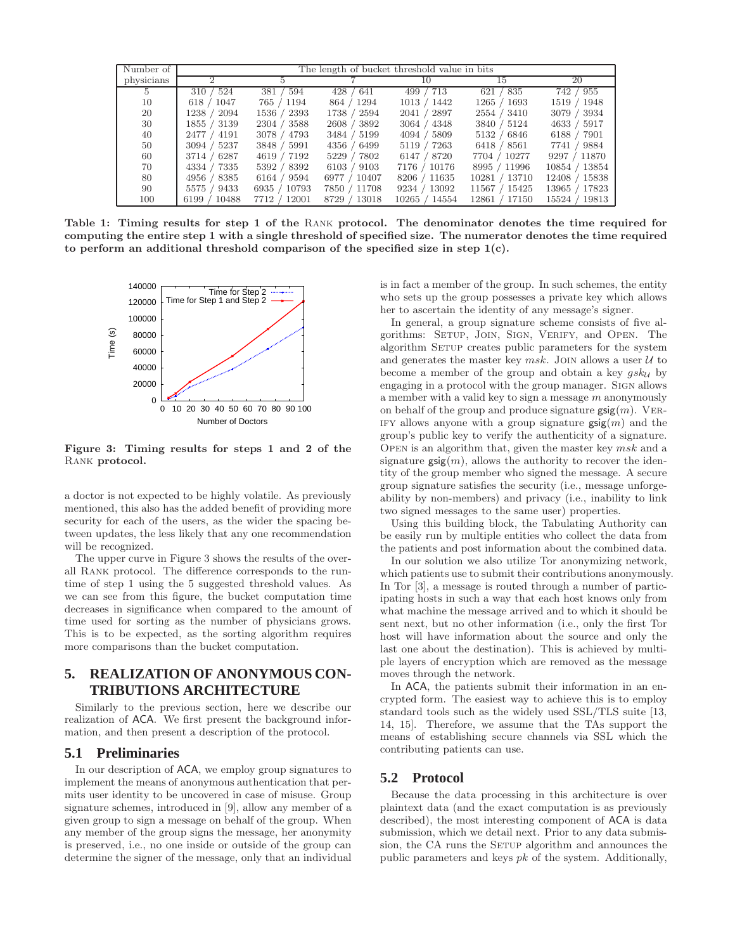| Number of   | The length of bucket threshold value in bits |              |                |              |             |              |
|-------------|----------------------------------------------|--------------|----------------|--------------|-------------|--------------|
| physicians  | 2                                            |              |                | 10           | 15          | 20           |
| $5^{\circ}$ | 524                                          | 594          | 641            | 713          | 835         | 955          |
|             | 310                                          | 381          | 428            | 499          | 621         | 742          |
| 10          | 618                                          | 765          | 1294           | 1013/        | 1265        | 1519         |
|             | 1047                                         | 1194         | 864            | 1442         | 1693        | 1948         |
| 20          | 1238                                         | 1536         | 2594           | 2897         | 2554        | 3079         |
|             | 2094                                         | 2393         | 1738           | 2041         | 3410        | 3934         |
| 30          | 1855<br>3139                                 | 3588<br>2304 | 2608 /<br>3892 | 3064<br>4348 | 3840 / 5124 | 4633<br>5917 |
| 40          | 2477                                         | 4793         | 5199           | 5809         | 5132/       | 7901         |
|             | 4191                                         | 3078/        | 3484/          | 4094,        | 6846        | 6188         |
| 50          | 5237                                         | 5991         | 4356/          | 7263         | 6418        | 7741         |
|             | 3094                                         | 3848         | 6499           | 5119         | 8561        | 9884         |
| 60          | 3714/                                        | 7192         | 7802           | 8720         | 7704        | 9297         |
|             | 6287                                         | 4619/        | 5229           | 6147         | 10277       | 11870        |
| 70          | 7335                                         | 8392         | 9103           | 7176,        | 11996       | 13854        |
|             | 4334                                         | 5392/        | 6103           | 10176        | 8995        | 10854        |
| 80          | 4956                                         | 9594         | 10407          | 8206         | 13710       | 15838        |
|             | 8385                                         | 6164         | 6977           | 11635        | 10281       | 12408        |
| 90          | 5575                                         | 6935         | 11708          | 9234         | 11567       | 17823        |
|             | 9433                                         | 10793        | 7850           | 13092        | 15425       | 13965        |
| 100         | 6199                                         | 7712         | 13018          | 14554        | 12861       | 15524        |
|             | 10488                                        | 12001        | 8729           | 10265        | 17150       | 19813        |

Table 1: Timing results for step 1 of the Rank protocol. The denominator denotes the time required for computing the entire step 1 with a single threshold of specified size. The numerator denotes the time required to perform an additional threshold comparison of the specified size in step  $1(c)$ .



Figure 3: Timing results for steps 1 and 2 of the Rank protocol.

a doctor is not expected to be highly volatile. As previously mentioned, this also has the added benefit of providing more security for each of the users, as the wider the spacing between updates, the less likely that any one recommendation will be recognized.

The upper curve in Figure 3 shows the results of the overall Rank protocol. The difference corresponds to the runtime of step 1 using the 5 suggested threshold values. As we can see from this figure, the bucket computation time decreases in significance when compared to the amount of time used for sorting as the number of physicians grows. This is to be expected, as the sorting algorithm requires more comparisons than the bucket computation.

# **5. REALIZATION OF ANONYMOUS CON-TRIBUTIONS ARCHITECTURE**

Similarly to the previous section, here we describe our realization of ACA. We first present the background information, and then present a description of the protocol.

#### **5.1 Preliminaries**

In our description of ACA, we employ group signatures to implement the means of anonymous authentication that permits user identity to be uncovered in case of misuse. Group signature schemes, introduced in [9], allow any member of a given group to sign a message on behalf of the group. When any member of the group signs the message, her anonymity is preserved, i.e., no one inside or outside of the group can determine the signer of the message, only that an individual is in fact a member of the group. In such schemes, the entity who sets up the group possesses a private key which allows her to ascertain the identity of any message's signer.

In general, a group signature scheme consists of five algorithms: SETUP, JOIN, SIGN, VERIFY, and OPEN. The algorithm SETUP creates public parameters for the system and generates the master key msk. JOIN allows a user  $U$  to become a member of the group and obtain a key  $qsku$  by engaging in a protocol with the group manager. SIGN allows a member with a valid key to sign a message  $m$  anonymously on behalf of the group and produce signature  $\text{gsig}(m)$ . VER-IFY allows anyone with a group signature  $\text{gsig}(m)$  and the group's public key to verify the authenticity of a signature. OPEN is an algorithm that, given the master key  $msk$  and a signature  $\operatorname{gsig}(m)$ , allows the authority to recover the identity of the group member who signed the message. A secure group signature satisfies the security (i.e., message unforgeability by non-members) and privacy (i.e., inability to link two signed messages to the same user) properties.

Using this building block, the Tabulating Authority can be easily run by multiple entities who collect the data from the patients and post information about the combined data.

In our solution we also utilize Tor anonymizing network, which patients use to submit their contributions anonymously. In Tor [3], a message is routed through a number of participating hosts in such a way that each host knows only from what machine the message arrived and to which it should be sent next, but no other information (i.e., only the first Tor host will have information about the source and only the last one about the destination). This is achieved by multiple layers of encryption which are removed as the message moves through the network.

In ACA, the patients submit their information in an encrypted form. The easiest way to achieve this is to employ standard tools such as the widely used SSL/TLS suite [13, 14, 15]. Therefore, we assume that the TAs support the means of establishing secure channels via SSL which the contributing patients can use.

#### **5.2 Protocol**

Because the data processing in this architecture is over plaintext data (and the exact computation is as previously described), the most interesting component of ACA is data submission, which we detail next. Prior to any data submission, the CA runs the SETUP algorithm and announces the public parameters and keys  $pk$  of the system. Additionally,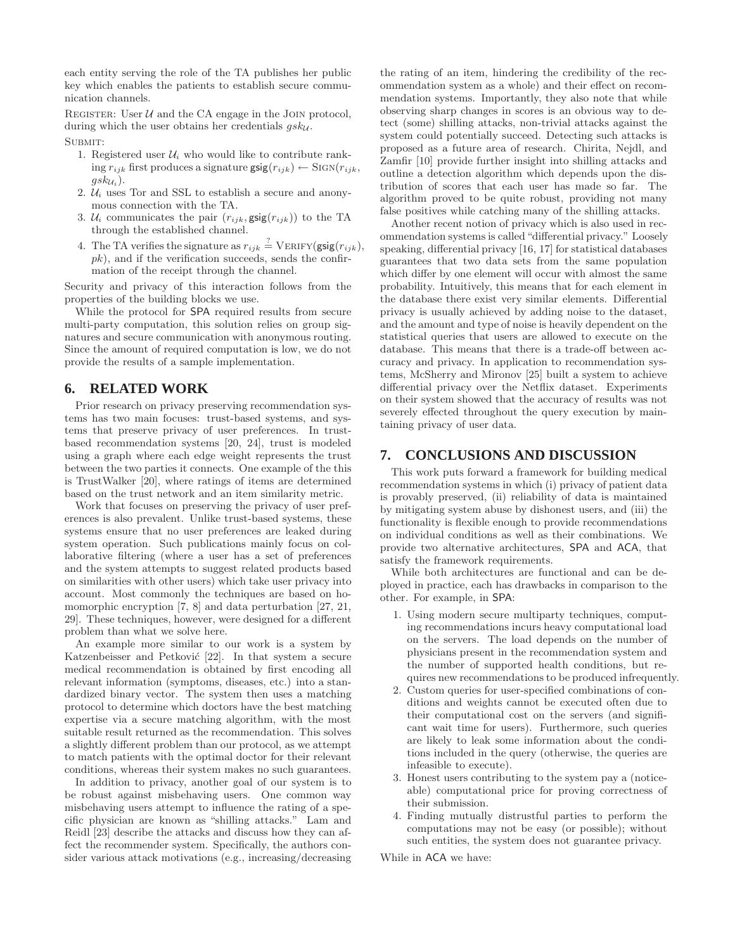each entity serving the role of the TA publishes her public key which enables the patients to establish secure communication channels.

REGISTER: User  $U$  and the CA engage in the JOIN protocol, during which the user obtains her credentials  $qsku$ .

- SUBMIT:
	- 1. Registered user  $\mathcal{U}_i$  who would like to contribute ranking  $r_{ijk}$  first produces a signature  $\text{gsig}(r_{ijk}) \leftarrow \text{SIGN}(r_{ijk},$  $gsku_i$ ).
	- 2.  $U_i$  uses Tor and SSL to establish a secure and anonymous connection with the TA.
	- 3.  $U_i$  communicates the pair  $(r_{ijk}, g_{\text{sig}}(r_{ijk}))$  to the TA through the established channel.
	- 4. The TA verifies the signature as  $r_{ijk} \stackrel{?}{=} \text{VERIFY}(\textsf{gsig}(r_{ijk}),$  $pk$ ), and if the verification succeeds, sends the confirmation of the receipt through the channel.

Security and privacy of this interaction follows from the properties of the building blocks we use.

While the protocol for SPA required results from secure multi-party computation, this solution relies on group signatures and secure communication with anonymous routing. Since the amount of required computation is low, we do not provide the results of a sample implementation.

## **6. RELATED WORK**

Prior research on privacy preserving recommendation systems has two main focuses: trust-based systems, and systems that preserve privacy of user preferences. In trustbased recommendation systems [20, 24], trust is modeled using a graph where each edge weight represents the trust between the two parties it connects. One example of the this is TrustWalker [20], where ratings of items are determined based on the trust network and an item similarity metric.

Work that focuses on preserving the privacy of user preferences is also prevalent. Unlike trust-based systems, these systems ensure that no user preferences are leaked during system operation. Such publications mainly focus on collaborative filtering (where a user has a set of preferences and the system attempts to suggest related products based on similarities with other users) which take user privacy into account. Most commonly the techniques are based on homomorphic encryption [7, 8] and data perturbation [27, 21, 29]. These techniques, however, were designed for a different problem than what we solve here.

An example more similar to our work is a system by Katzenbeisser and Petković [22]. In that system a secure medical recommendation is obtained by first encoding all relevant information (symptoms, diseases, etc.) into a standardized binary vector. The system then uses a matching protocol to determine which doctors have the best matching expertise via a secure matching algorithm, with the most suitable result returned as the recommendation. This solves a slightly different problem than our protocol, as we attempt to match patients with the optimal doctor for their relevant conditions, whereas their system makes no such guarantees.

In addition to privacy, another goal of our system is to be robust against misbehaving users. One common way misbehaving users attempt to influence the rating of a specific physician are known as "shilling attacks." Lam and Reidl [23] describe the attacks and discuss how they can affect the recommender system. Specifically, the authors consider various attack motivations (e.g., increasing/decreasing

the rating of an item, hindering the credibility of the recommendation system as a whole) and their effect on recommendation systems. Importantly, they also note that while observing sharp changes in scores is an obvious way to detect (some) shilling attacks, non-trivial attacks against the system could potentially succeed. Detecting such attacks is proposed as a future area of research. Chirita, Nejdl, and Zamfir [10] provide further insight into shilling attacks and outline a detection algorithm which depends upon the distribution of scores that each user has made so far. The algorithm proved to be quite robust, providing not many false positives while catching many of the shilling attacks.

Another recent notion of privacy which is also used in recommendation systems is called "differential privacy." Loosely speaking, differential privacy [16, 17] for statistical databases guarantees that two data sets from the same population which differ by one element will occur with almost the same probability. Intuitively, this means that for each element in the database there exist very similar elements. Differential privacy is usually achieved by adding noise to the dataset, and the amount and type of noise is heavily dependent on the statistical queries that users are allowed to execute on the database. This means that there is a trade-off between accuracy and privacy. In application to recommendation systems, McSherry and Mironov [25] built a system to achieve differential privacy over the Netflix dataset. Experiments on their system showed that the accuracy of results was not severely effected throughout the query execution by maintaining privacy of user data.

# **7. CONCLUSIONS AND DISCUSSION**

This work puts forward a framework for building medical recommendation systems in which (i) privacy of patient data is provably preserved, (ii) reliability of data is maintained by mitigating system abuse by dishonest users, and (iii) the functionality is flexible enough to provide recommendations on individual conditions as well as their combinations. We provide two alternative architectures, SPA and ACA, that satisfy the framework requirements.

While both architectures are functional and can be deployed in practice, each has drawbacks in comparison to the other. For example, in SPA:

- 1. Using modern secure multiparty techniques, computing recommendations incurs heavy computational load on the servers. The load depends on the number of physicians present in the recommendation system and the number of supported health conditions, but requires new recommendations to be produced infrequently.
- 2. Custom queries for user-specified combinations of conditions and weights cannot be executed often due to their computational cost on the servers (and significant wait time for users). Furthermore, such queries are likely to leak some information about the conditions included in the query (otherwise, the queries are infeasible to execute).
- 3. Honest users contributing to the system pay a (noticeable) computational price for proving correctness of their submission.
- 4. Finding mutually distrustful parties to perform the computations may not be easy (or possible); without such entities, the system does not guarantee privacy.

While in ACA we have: